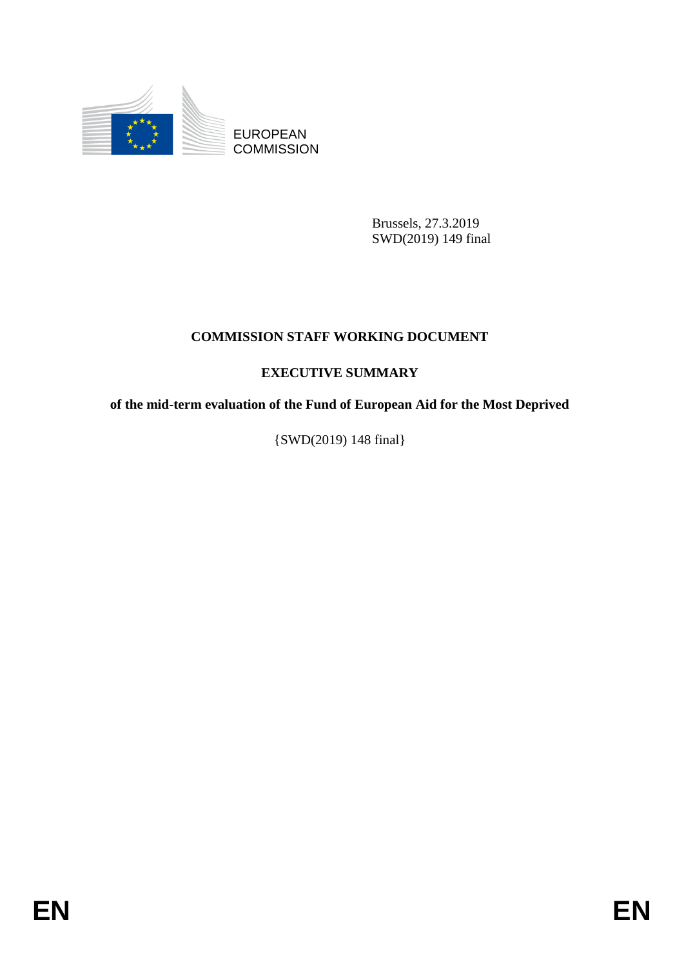

EUROPEAN **COMMISSION** 

> Brussels, 27.3.2019 SWD(2019) 149 final

## **COMMISSION STAFF WORKING DOCUMENT**

# **EXECUTIVE SUMMARY**

**of the mid-term evaluation of the Fund of European Aid for the Most Deprived**

{SWD(2019) 148 final}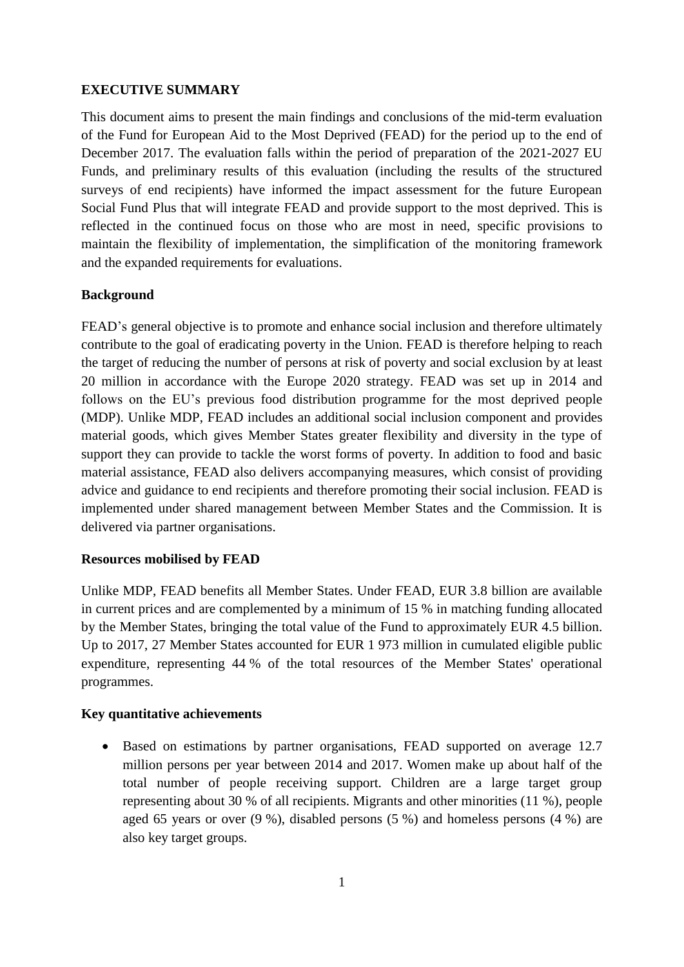#### **EXECUTIVE SUMMARY**

This document aims to present the main findings and conclusions of the mid-term evaluation of the Fund for European Aid to the Most Deprived (FEAD) for the period up to the end of December 2017. The evaluation falls within the period of preparation of the 2021-2027 EU Funds, and preliminary results of this evaluation (including the results of the structured surveys of end recipients) have informed the impact assessment for the future European Social Fund Plus that will integrate FEAD and provide support to the most deprived. This is reflected in the continued focus on those who are most in need, specific provisions to maintain the flexibility of implementation, the simplification of the monitoring framework and the expanded requirements for evaluations.

## **Background**

FEAD's general objective is to promote and enhance social inclusion and therefore ultimately contribute to the goal of eradicating poverty in the Union. FEAD is therefore helping to reach the target of reducing the number of persons at risk of poverty and social exclusion by at least 20 million in accordance with the Europe 2020 strategy. FEAD was set up in 2014 and follows on the EU's previous food distribution programme for the most deprived people (MDP). Unlike MDP, FEAD includes an additional social inclusion component and provides material goods, which gives Member States greater flexibility and diversity in the type of support they can provide to tackle the worst forms of poverty. In addition to food and basic material assistance, FEAD also delivers accompanying measures, which consist of providing advice and guidance to end recipients and therefore promoting their social inclusion. FEAD is implemented under shared management between Member States and the Commission. It is delivered via partner organisations.

#### **Resources mobilised by FEAD**

Unlike MDP, FEAD benefits all Member States. Under FEAD, EUR 3.8 billion are available in current prices and are complemented by a minimum of 15 % in matching funding allocated by the Member States, bringing the total value of the Fund to approximately EUR 4.5 billion. Up to 2017, 27 Member States accounted for EUR 1 973 million in cumulated eligible public expenditure, representing 44 % of the total resources of the Member States' operational programmes.

#### **Key quantitative achievements**

• Based on estimations by partner organisations, FEAD supported on average 12.7 million persons per year between 2014 and 2017. Women make up about half of the total number of people receiving support. Children are a large target group representing about 30 % of all recipients. Migrants and other minorities (11 %), people aged 65 years or over (9 %), disabled persons (5 %) and homeless persons (4 %) are also key target groups.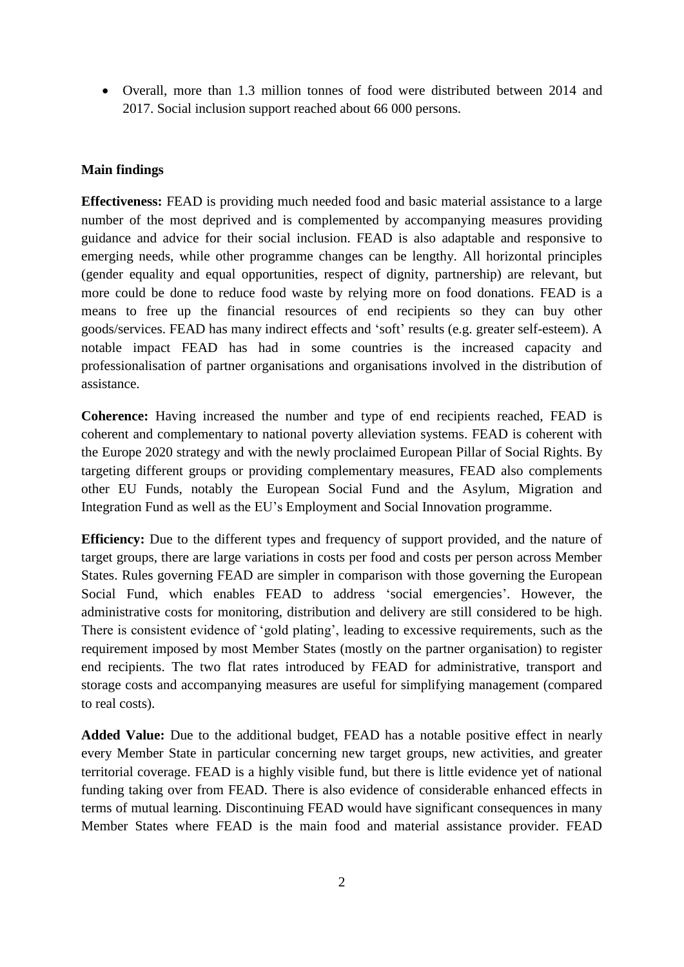Overall, more than 1.3 million tonnes of food were distributed between 2014 and 2017. Social inclusion support reached about 66 000 persons.

#### **Main findings**

**Effectiveness:** FEAD is providing much needed food and basic material assistance to a large number of the most deprived and is complemented by accompanying measures providing guidance and advice for their social inclusion. FEAD is also adaptable and responsive to emerging needs, while other programme changes can be lengthy. All horizontal principles (gender equality and equal opportunities, respect of dignity, partnership) are relevant, but more could be done to reduce food waste by relying more on food donations. FEAD is a means to free up the financial resources of end recipients so they can buy other goods/services. FEAD has many indirect effects and 'soft' results (e.g. greater self-esteem). A notable impact FEAD has had in some countries is the increased capacity and professionalisation of partner organisations and organisations involved in the distribution of assistance.

**Coherence:** Having increased the number and type of end recipients reached, FEAD is coherent and complementary to national poverty alleviation systems. FEAD is coherent with the Europe 2020 strategy and with the newly proclaimed European Pillar of Social Rights. By targeting different groups or providing complementary measures, FEAD also complements other EU Funds, notably the European Social Fund and the Asylum, Migration and Integration Fund as well as the EU's Employment and Social Innovation programme.

**Efficiency:** Due to the different types and frequency of support provided, and the nature of target groups, there are large variations in costs per food and costs per person across Member States. Rules governing FEAD are simpler in comparison with those governing the European Social Fund, which enables FEAD to address 'social emergencies'. However, the administrative costs for monitoring, distribution and delivery are still considered to be high. There is consistent evidence of 'gold plating', leading to excessive requirements, such as the requirement imposed by most Member States (mostly on the partner organisation) to register end recipients. The two flat rates introduced by FEAD for administrative, transport and storage costs and accompanying measures are useful for simplifying management (compared to real costs).

**Added Value:** Due to the additional budget, FEAD has a notable positive effect in nearly every Member State in particular concerning new target groups, new activities, and greater territorial coverage. FEAD is a highly visible fund, but there is little evidence yet of national funding taking over from FEAD. There is also evidence of considerable enhanced effects in terms of mutual learning. Discontinuing FEAD would have significant consequences in many Member States where FEAD is the main food and material assistance provider. FEAD